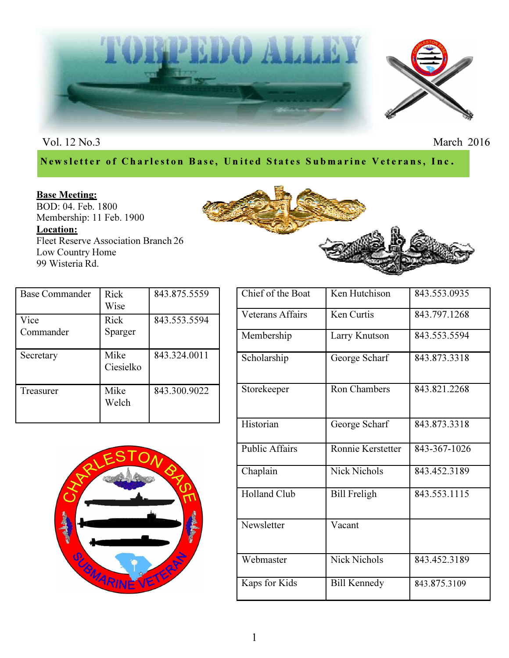



Vol. 12 No.3 March 2016

# New sletter of Charleston Base, United States Submarine Veterans, Inc.

# **Base Meeting:**

BOD: 04. Feb. 1800 Membership: 11 Feb. 1900 Location: Fleet Reserve Association Branch 26 Low Country Home 99 Wisteria Rd.



| <b>Base Commander</b> | Rick<br>Wise      | 843.875.5559 |
|-----------------------|-------------------|--------------|
| Vice<br>Commander     | Rick<br>Sparger   | 843.553.5594 |
| Secretary             | Mike<br>Ciesielko | 843.324.0011 |
| Treasurer             | Mike<br>Welch     | 843.300.9022 |



| Chief of the Boat     | Ken Hutchison       | 843.553.0935 |  |
|-----------------------|---------------------|--------------|--|
| Veterans Affairs      | Ken Curtis          | 843.797.1268 |  |
| Membership            | Larry Knutson       | 843.553.5594 |  |
| Scholarship           | George Scharf       | 843.873.3318 |  |
| Storekeeper           | <b>Ron Chambers</b> | 843.821.2268 |  |
| Historian             | George Scharf       | 843.873.3318 |  |
| <b>Public Affairs</b> | Ronnie Kerstetter   | 843-367-1026 |  |
| Chaplain              | <b>Nick Nichols</b> | 843.452.3189 |  |
| <b>Holland Club</b>   | <b>Bill Freligh</b> | 843.553.1115 |  |
| Newsletter            | Vacant              |              |  |
| Webmaster             | <b>Nick Nichols</b> | 843.452.3189 |  |
| Kaps for Kids         | <b>Bill Kennedy</b> | 843.875.3109 |  |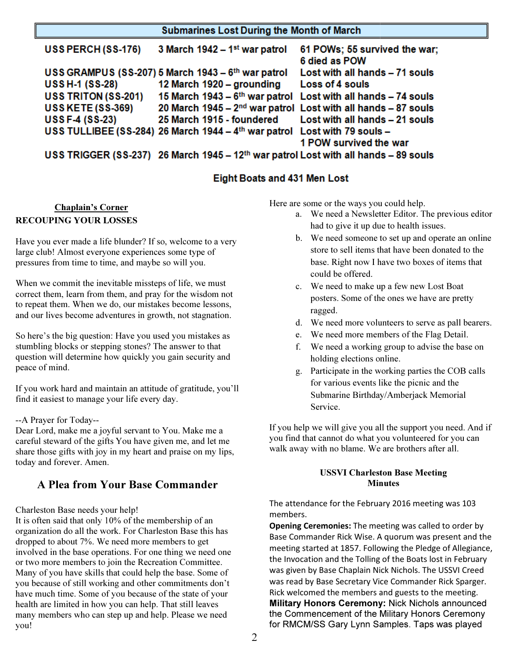| <b>Submarines Lost During the Month of March</b> |                                                                                                 |                                                |  |  |
|--------------------------------------------------|-------------------------------------------------------------------------------------------------|------------------------------------------------|--|--|
| USS PERCH (SS-176)                               | 3 March 1942 - 1 <sup>st</sup> war patrol                                                       | 61 POWs; 55 survived the war;<br>6 died as POW |  |  |
|                                                  | USS GRAMPUS (SS-207) 5 March 1943 - 6th war patrol                                              | Lost with all hands - 71 souls                 |  |  |
| <b>USSH-1 (SS-28)</b>                            | 12 March 1920 - grounding                                                                       | Loss of 4 souls                                |  |  |
| <b>USS TRITON (SS-201)</b>                       | 15 March 1943 - 6 <sup>th</sup> war patrol Lost with all hands - 74 souls                       |                                                |  |  |
| <b>USS KETE (SS-369)</b>                         | 20 March 1945 - 2 <sup>nd</sup> war patrol Lost with all hands - 87 souls                       |                                                |  |  |
| <b>USS F-4 (SS-23)</b>                           | 25 March 1915 - foundered Lost with all hands - 21 souls                                        |                                                |  |  |
|                                                  | USS TULLIBEE (SS-284) 26 March 1944 - 4th war patrol Lost with 79 souls -                       |                                                |  |  |
|                                                  |                                                                                                 | 1 POW survived the war                         |  |  |
|                                                  | USS TRIGGER (SS-237) 26 March 1945 - 12 <sup>th</sup> war patrol Lost with all hands - 89 souls |                                                |  |  |

# **Eight Boats and 431 Men Lost**

## Chaplain's Corner RECOUPING YOUR LOSSES

Have you ever made a life blunder? If so, welcome to a very large club! Almost everyone experiences some type of pressures from time to time, and maybe so will you.

When we commit the inevitable missteps of life, we must correct them, learn from them, and pray for the wisdom not to repeat them. When we do, our mistakes become lessons, and our lives become adventures in growth, not stagnation. correct them, learn from them, and pray for the wisdom not<br>to repeat them. When we do, our mistakes become lessons,<br>and our lives become adventures in growth, not stagnation.

So here's the big question: Have you used you mistakes as stumbling blocks or stepping stones? The answer to that question will determine how quickly you gain security and peace of mind.

If you work hard and maintain an attitude of gratitude, you'll find it easiest to manage your life every day.

#### --A Prayer for Today--

Dear Lord, make me a joyful servant to You. Make me a careful steward of the gifts You have given me, and let me share those gifts with joy in my heart and praise on my lips, today and forever. Amen. ion will determine how quickly you gain security and<br>
2 of mind.<br>
2 work hard and maintain an attitude of gratitude, you'l<br>
1 easiest to manage your life every day.<br>
Trayer for Today--<br>
Lord, make me a joyful servant to Yo

# A Plea from Your Base Commander

#### Charleston Base needs your help!

It is often said that only 10% of the membership of an organization do all the work. For Charleston Base this has dropped to about 7%. We need more members to get involved in the base operations. For one thing we need one or two more members to join the Recreation Committee. Many of you have skills that could help the base. Some of you because of still working and other commitments don't have much time. Some of you because of the state of your health are limited in how you can help. That still leaves many members who can step up and help. Please we need you! It is often said that only 10% of the membership of an<br>organization do all the work. For Charleston Base this has<br>dropped to about 7%. We need more members to get<br>involved in the base operations. For one thing we need one<br>

Here are some or the ways you could help.

- a. We need a Newsletter Editor. The previous editor had to give it up due to health issues. are some or the ways you could help.<br>
a. We need a Newsletter Editor. The pro-<br>
had to give it up due to health issues.
- b. We need someone to set up and operate an online store to sell items that have been donated to the base. Right now I have two boxes of items that could be offered.
- c. We need to make up a few new Lost Boat posters. Some of the ones we have are pretty ragged. ell items that have been donated to the<br>ht now I have two boxes of items that<br>offered.<br>to make up a few new Lost Boat<br>lome of the ones we have are pretty<br>more volunteers to serve as pall bearer<br>more members of the Flag Det
- d. We need more volunteers to serve as pall bearers.
- e. We need more members of the Flag Detail.
- f. We need a working group holding elections online.
- g. Participate in the working parties the COB calls for various events like the picnic and the Submarine Birthday/Amberjack Memorial Service. g. Participate in the working parties the COB calls<br>for various events like the picnic and the<br>Submarine Birthday/Amberjack Memorial<br>Service.<br>help we will give you all the support you need. And<br>nd that cannot do what you v

If you help we will give you all the support you need. And if you find that cannot do what you volunteered for you can walk away with no blame. We are brothers after all.

#### USSVI Charleston Base Meeting **Minutes**

The attendance for the February 2016 meeting was 103 members.

Opening Ceremonies: The meeting was called to order by Base Commander Rick Wise. A quorum was present and the meeting started at 1857. Following the Pledge Pledge of Allegiance, the Invocation and the Tolling of the Boats lost in February was given by Base Chaplain Nick Nichols. The USSVI Creed was read by Base Secretary Vice Commander Rick Sparger Sparger. Rick welcomed the members and guests to the meeting. Military Honors Ceremony: Nick Nichols announced the Commencement of the Military Honors Ceremony the Commencement of the Military Honors Ceremony<br>for RMCM/SS Gary Lynn Samples. Taps was played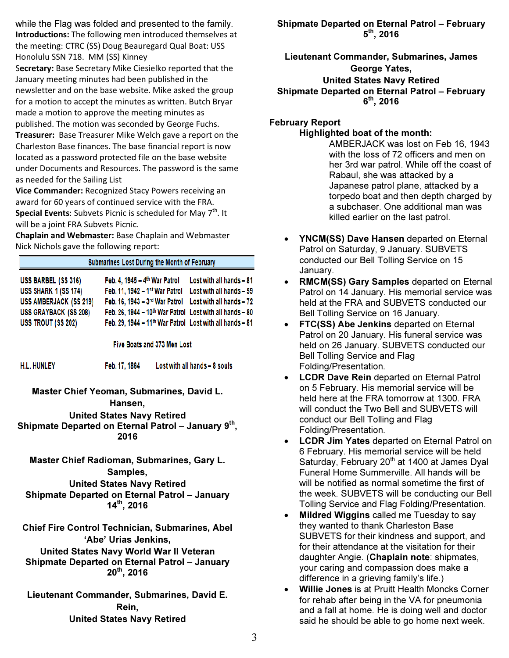while the Flag was folded and presented to the family. Introductions: The following men introduced themselves at the meeting: CTRC (SS) Doug Beauregard Qual Boat: USS Honolulu SSN 718. MM (SS) Kinney

Secretary: Base Secretary Mike Ciesielko reported that the January meeting minutes had been published in the newsletter and on the base website. Mike asked the group for a motion to accept the minutes as written. Butch Bryar made a motion to approve the meeting minutes as een published in the<br>bsite. Mike asked the groutes as written. Butch Br<br>meeting minutes as<br>onded by George Fuchs.

published. The motion was seconded by George Fuchs Treasurer: Base Treasurer Mike Welch gave a report on the Charleston Base finances. The base financial report is now located as a password protected file on the base website under Documents and Resources. The password is the same as needed for the Sailing List Charleston Base finances. The base financial report is now<br>located as a password protected file on the base website<br>under Documents and Resources. The password is the sar<br>as needed for the Sailing List<br>**Vice Commander:** Re

Vice Commander: Recognized Stacy Powers receiving an award for 60 years of continued service with the FRA. will be a joint FRA Subvets Picnic.

Chaplain and Webmaster: Base Chaplain and Webmaster Nick Nichols gave the following report:

#### Submarines Lost During the Month of February

| USS BARBEL (SS 316)                                                                             |                                   |  | Feb. 4, 1945 - $4th$ War Patrol Lost with all hands - 81 |  |  |
|-------------------------------------------------------------------------------------------------|-----------------------------------|--|----------------------------------------------------------|--|--|
| USS SHARK 1 (SS 174)                                                                            |                                   |  | Feb. 11, 1942 - 1st War Patrol Lost with all hands - 59  |  |  |
| <b>USS AMBERJACK (SS 219)</b>                                                                   |                                   |  | Feb. 16, 1943 - 3rd War Patrol Lost with all hands - 72  |  |  |
| <b>USS GRAYBACK (SS 208)</b>                                                                    |                                   |  | Feb. 26, 1944 - 10th War Patrol Lost with all hands - 80 |  |  |
| USS TROUT (SS 202)                                                                              |                                   |  | Feb. 29, 1944 - 11th War Patrol Lost with all hands - 81 |  |  |
|                                                                                                 |                                   |  |                                                          |  |  |
| Five Boats and 373 Men Lost                                                                     |                                   |  |                                                          |  |  |
| <b>H.L. HUNLEY</b>                                                                              | Feb. 17, 1864                     |  | Lost with all hands - 8 souls                            |  |  |
| Master Chief Yeoman, Submarines, David L.<br>Hansen,                                            |                                   |  |                                                          |  |  |
|                                                                                                 | <b>United States Navy Retired</b> |  |                                                          |  |  |
| Shipmate Departed on Eternal Patrol – January 9 <sup>th</sup> ,                                 |                                   |  |                                                          |  |  |
|                                                                                                 | 2016                              |  |                                                          |  |  |
|                                                                                                 |                                   |  |                                                          |  |  |
| Master Chief Radioman, Submarines, Gary L.                                                      |                                   |  |                                                          |  |  |
|                                                                                                 |                                   |  |                                                          |  |  |
| Samples,                                                                                        |                                   |  |                                                          |  |  |
| <b>United States Navy Retired</b>                                                               |                                   |  |                                                          |  |  |
| <b>Shipmate Departed on Eternal Patrol - January</b>                                            |                                   |  |                                                          |  |  |
|                                                                                                 | 14th, 2016                        |  |                                                          |  |  |
|                                                                                                 |                                   |  |                                                          |  |  |
| <b>Chief Fire Control Technician, Submarines, Abel</b><br>'Abe' Urias Jenkins,                  |                                   |  |                                                          |  |  |
|                                                                                                 |                                   |  |                                                          |  |  |
| United States Navy World War II Veteran<br><b>Shipmate Departed on Eternal Patrol - January</b> |                                   |  |                                                          |  |  |
|                                                                                                 | $20^{th}$ , 2016                  |  |                                                          |  |  |
| Lieutenant Commander, Submarines, David E.                                                      |                                   |  |                                                          |  |  |
| Rein,                                                                                           |                                   |  |                                                          |  |  |
|                                                                                                 |                                   |  |                                                          |  |  |

United States Navy Retired

Shipmate Departed on Eternal Patrol – February  $5^{\text{th}}$ , 2016

Lieutenant Commander, Submarines, James George Yates, United States Navy Retired Lieutenant Commander, Submarines, James<br>George Yates,<br>United States Navy Retired<br>Shipmate Departed on Eternal Patrol – February  $6^{\text{th}}$ , 2016

### February Report

#### Highlighted boat of the month:

AMBERJACK was lost on Feb 16, 1943 AMBERJACK was lost on Feb 16, 1943<br>with the loss of 72 officers and men on her 3rd war patrol. While off the coast of Rabaul, she was attacked by a Japanese patrol plane, attacked by a torpedo boat and then depth charged by a subchaser. One additional man was killed earlier on the last patrol. Rabaul, she was attacked by a<br>Japanese patrol plane, attacked by a<br>torpedo boat and then depth charged by<br>a subchaser. One additional man was<br>killed earlier on the last patrol.<br>SS) Dave Hansen departed on Eternal

- YNCM(SS) Dave Hansen departed on Eternal Patrol on Saturday, 9 January. SUBVETS conducted our Bell Tolling Service on 15 Service on January.
- RMCM(SS) Gary Samples departed on Eternal Patrol on 14 January. His memorial service was held at the FRA and SUBVETS conducted our<br>Bell Tolling Service on 16 January. Bell Tolling Service on 16 January.
- FTC(SS) Abe Jenkins departed on Eternal Patrol on 20 January. His funeral service was held on 26 January. SUBVETS conducted our Bell Tolling Service and Flag Folding/Presentation. ary. His funeral service was<br>y. SUBVETS conducted our<br>e and Flag<br>on.<br>departed on Eternal Patrol
- **LCDR Dave Rein departed on Eternal Patrol** on 5 February. His memorial service will be on 5 February. His memorial service will be<br>held here at the FRA tomorrow at 1300. FRA will conduct the Two Bell and SUBVETS will conduct our Bell Tolling and Flag Folding/Presentation. will conduct the Two Bell and SUBVETS will<br>conduct our Bell Tolling and Flag<br>Folding/Presentation.<br>**LCDR Jim Yates** departed on Eternal Patrol o<br>6 February. His memorial service will be held
- **LCDR Jim Yates departed on Eternal Patrol on** Saturday, February 20<sup>th</sup> at 1400 at James Dyal Funeral Home Summerville. All hands will be will be notified as normal sometime the first of the week. SUBVETS will be conducting our Bell Tolling Service and Flag Folding/Presentation. Funeral Home Summerville. All hands will be<br>will be notified as normal sometime the first of<br>the week. SUBVETS will be conducting our Be<br>Tolling Service and Flag Folding/Presentation.<br>**Mildred Wiggins** called me Tuesday to
- **Mildred Wiggins called me Tuesday to say** they wanted to thank Charleston Base SUBVETS for their kindness and support, and SUBVETS for their kindness and support, ar<br>for their attendance at the visitation for their daughter Angie. (Chaplain note: shipmates, your caring and compassion does make a difference in a grieving family's life.)
- Willie Jones is at Pruitt Health Moncks Corner for rehab after being in the VA for pneumonia and a fall at home. He is doing well and doctor said he should be able to go home next week. your caring and compassion does make<br>difference in a grieving family's life.)<br>**Willie Jones** is at Pruitt Health Moncks (<br>for rehab after being in the VA for pneum<br>and a fall at home. He is doing well and (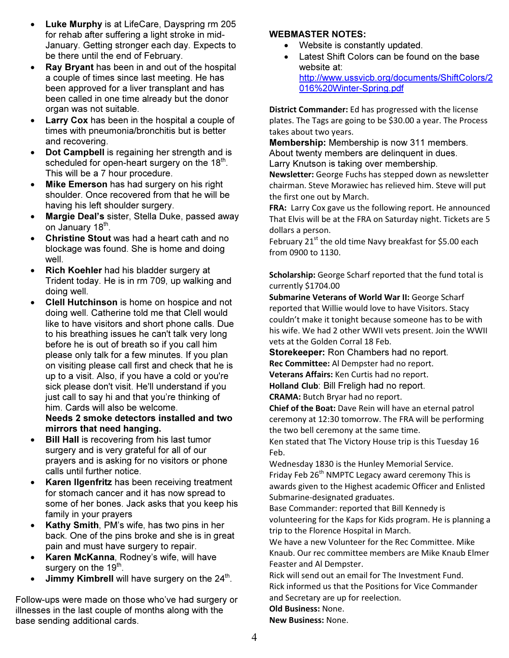- Luke Murphy is at LifeCare, Dayspring rm 205 for rehab after suffering a light stroke in mid-January. Getting stronger each day. Expects to be there until the end of February.
- Ray Bryant has been in and out of the hospital a couple of times since last meeting. He has been approved for a liver transplant and has been called in one time already but the donor organ was not suitable.
- Larry Cox has been in the hospital a couple of times with pneumonia/bronchitis but is better and recovering.
- Dot Campbell is regaining her strength and is scheduled for open-heart surgery on the  $18<sup>th</sup>$ . This will be a 7 hour procedure.
- Mike Emerson has had surgery on his right shoulder. Once recovered from that he will be having his left shoulder surgery.
- Margie Deal's sister, Stella Duke, passed away on January 18<sup>th</sup>.
- Christine Stout was had a heart cath and no blockage was found. She is home and doing well.
- Rich Koehler had his bladder surgery at Trident today. He is in rm 709, up walking and doing well.
- Clell Hutchinson is home on hospice and not doing well. Catherine told me that Clell would like to have visitors and short phone calls. Due to his breathing issues he can't talk very long before he is out of breath so if you call him please only talk for a few minutes. If you plan on visiting please call first and check that he is up to a visit. Also, if you have a cold or you're sick please don't visit. He'll understand if you just call to say hi and that you're thinking of him. Cards will also be welcome.

### Needs 2 smoke detectors installed and two mirrors that need hanging.

- Bill Hall is recovering from his last tumor surgery and is very grateful for all of our prayers and is asking for no visitors or phone calls until further notice.
- Karen Ilgenfritz has been receiving treatment for stomach cancer and it has now spread to some of her bones. Jack asks that you keep his family in your prayers
- Kathy Smith, PM's wife, has two pins in her back. One of the pins broke and she is in great pain and must have surgery to repair.
- Karen McKanna, Rodney's wife, will have surgery on the 19<sup>th</sup>.
- $\bullet$  Jimmy Kimbrell will have surgery on the 24<sup>th</sup>.

Follow-ups were made on those who've had surgery or illnesses in the last couple of months along with the base sending additional cards.

### WEBMASTER NOTES:

- Website is constantly updated.
- Latest Shift Colors can be found on the base website at: http://www.ussvicb.org/documents/ShiftColors/2 016%20Winter-Spring.pdf

District Commander: Ed has progressed with the license plates. The Tags are going to be \$30.00 a year. The Process takes about two years.

Membership: Membership is now 311 members. About twenty members are delinquent in dues. Larry Knutson is taking over membership.

Newsletter: George Fuchs has stepped down as newsletter chairman. Steve Morawiec has relieved him. Steve will put the first one out by March.

FRA: Larry Cox gave us the following report. He announced That Elvis will be at the FRA on Saturday night. Tickets are 5 dollars a person.

February  $21^{st}$  the old time Navy breakfast for \$5.00 each from 0900 to 1130.

Scholarship: George Scharf reported that the fund total is currently \$1704.00

Submarine Veterans of World War II: George Scharf reported that Willie would love to have Visitors. Stacy couldn't make it tonight because someone has to be with his wife. We had 2 other WWII vets present. Join the WWII vets at the Golden Corral 18 Feb.

Storekeeper: Ron Chambers had no report.

Rec Committee: Al Dempster had no report.

Veterans Affairs: Ken Curtis had no report.

Holland Club: Bill Freligh had no report.

CRAMA: Butch Bryar had no report.

Chief of the Boat: Dave Rein will have an eternal patrol ceremony at 12:30 tomorrow. The FRA will be performing the two bell ceremony at the same time.

Ken stated that The Victory House trip is this Tuesday 16 Feb.

Wednesday 1830 is the Hunley Memorial Service. Friday Feb 26<sup>th</sup> NMPTC Legacy award ceremony This is awards given to the Highest academic Officer and Enlisted Submarine-designated graduates.

Base Commander: reported that Bill Kennedy is volunteering for the Kaps for Kids program. He is planning a trip to the Florence Hospital in March.

We have a new Volunteer for the Rec Committee. Mike Knaub. Our rec committee members are Mike Knaub Elmer Feaster and Al Dempster.

Rick will send out an email for The Investment Fund. Rick informed us that the Positions for Vice Commander and Secretary are up for reelection.

Old Business: None.

New Business: None.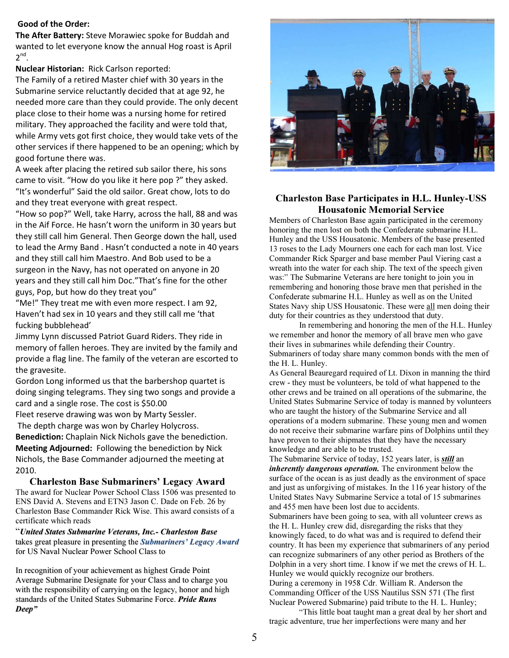#### Good of the Order:

The After Battery: Steve Morawiec spoke for Buddah and wanted to let everyone know the annual Hog roast is April  $2^{nd}$ .

Nuclear Historian: Rick Carlson reported:

The Family of a retired Master chief with 30 years in the Submarine service reluctantly decided that at age 92, he needed more care than they could provide. The only decent place close to their home was a nursing home for retired military. They approached the facility and were told that, while Army vets got first choice, they would take vets of the other services if there happened to be an opening; which by good fortune there was.

A week after placing the retired sub sailor there, his sons came to visit. "How do you like it here pop ?" they asked. "It's wonderful" Said the old sailor. Great chow, lots to do and they treat everyone with great respect.

"How so pop?" Well, take Harry, across the hall, 88 and was in the Aif Force. He hasn't worn the uniform in 30 years but they still call him General. Then George down the hall, used to lead the Army Band . Hasn't conducted a note in 40 years and they still call him Maestro. And Bob used to be a surgeon in the Navy, has not operated on anyone in 20 years and they still call him Doc."That's fine for the other guys, Pop, but how do they treat you"

"Me!" They treat me with even more respect. I am 92, Haven't had sex in 10 years and they still call me 'that fucking bubblehead'

Jimmy Lynn discussed Patriot Guard Riders. They ride in memory of fallen heroes. They are invited by the family and provide a flag line. The family of the veteran are escorted to the gravesite.

Gordon Long informed us that the barbershop quartet is doing singing telegrams. They sing two songs and provide a card and a single rose. The cost is \$50.00

Fleet reserve drawing was won by Marty Sessler.

The depth charge was won by Charley Holycross.

Benediction: Chaplain Nick Nichols gave the benediction. Meeting Adjourned: Following the benediction by Nick Nichols, the Base Commander adjourned the meeting at 2010.

Charleston Base Submariners' Legacy Award The award for Nuclear Power School Class 1506 was presented to ENS David A. Stevens and ETN3 Jason C. Dade on Feb. 26 by Charleston Base Commander Rick Wise. This award consists of a certificate which reads

"United States Submarine Veterans, Inc.- Charleston Base takes great pleasure in presenting the *Submariners' Legacy Award* for US Naval Nuclear Power School Class to

In recognition of your achievement as highest Grade Point Average Submarine Designate for your Class and to charge you with the responsibility of carrying on the legacy, honor and high standards of the United States Submarine Force. Pride Runs Deep"



#### Charleston Base Participates in H.L. Hunley-USS Housatonic Memorial Service

Members of Charleston Base again participated in the ceremony honoring the men lost on both the Confederate submarine H.L. Hunley and the USS Housatonic. Members of the base presented 13 roses to the Lady Mourners one each for each man lost. Vice Commander Rick Sparger and base member Paul Viering cast a wreath into the water for each ship. The text of the speech given was:" The Submarine Veterans are here tonight to join you in remembering and honoring those brave men that perished in the Confederate submarine H.L. Hunley as well as on the United States Navy ship USS Housatonic. These were all men doing their duty for their countries as they understood that duty.

 In remembering and honoring the men of the H.L. Hunley we remember and honor the memory of all brave men who gave their lives in submarines while defending their Country. Submariners of today share many common bonds with the men of the H. L. Hunley.

As General Beauregard required of Lt. Dixon in manning the third crew - they must be volunteers, be told of what happened to the other crews and be trained on all operations of the submarine, the United States Submarine Service of today is manned by volunteers who are taught the history of the Submarine Service and all operations of a modern submarine. These young men and women do not receive their submarine warfare pins of Dolphins until they have proven to their shipmates that they have the necessary knowledge and are able to be trusted.

The Submarine Service of today, 152 years later, is *still* an inherently dangerous operation. The environment below the surface of the ocean is as just deadly as the environment of space and just as unforgiving of mistakes. In the 116 year history of the United States Navy Submarine Service a total of 15 submarines and 455 men have been lost due to accidents.

Submariners have been going to sea, with all volunteer crews as the H. L. Hunley crew did, disregarding the risks that they knowingly faced, to do what was and is required to defend their country. It has been my experience that submariners of any period can recognize submariners of any other period as Brothers of the Dolphin in a very short time. I know if we met the crews of H. L. Hunley we would quickly recognize our brothers. During a ceremony in 1958 Cdr. William R. Anderson the Commanding Officer of the USS Nautilus SSN 571 (The first Nuclear Powered Submarine) paid tribute to the H. L. Hunley;

 "This little boat taught man a great deal by her short and tragic adventure, true her imperfections were many and her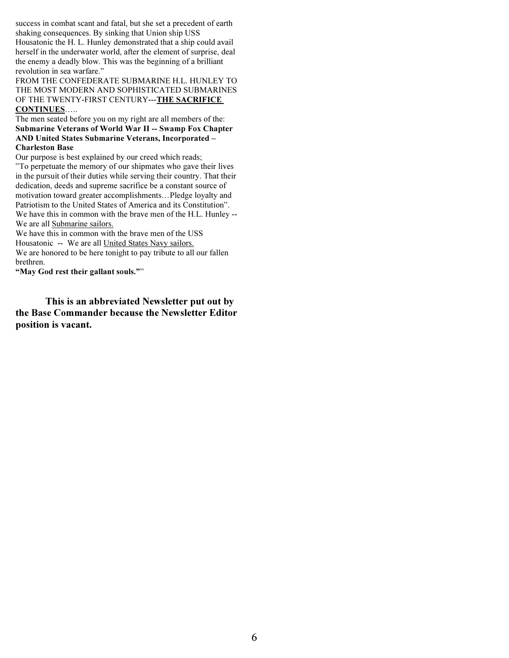success in combat scant and fatal, but she set a precedent of earth shaking consequences. By sinking that Union ship USS Housatonic the H. L. Hunley demonstrated that a ship could avail herself in the underwater world, after the element of surprise, deal the enemy a deadly blow. This was the beginning of a brilliant revolution in sea warfare."

FROM THE CONFEDERATE SUBMARINE H.L. HUNLEY TO THE MOST MODERN AND SOPHISTICATED SUBMARINES OF THE TWENTY-FIRST CENTURY---THE SACRIFICE CONTINUES…..

The men seated before you on my right are all members of the: Submarine Veterans of World War II -- Swamp Fox Chapter AND United States Submarine Veterans, Incorporated – Charleston Base

Our purpose is best explained by our creed which reads;

"To perpetuate the memory of our shipmates who gave their lives in the pursuit of their duties while serving their country. That their dedication, deeds and supreme sacrifice be a constant source of motivation toward greater accomplishments…Pledge loyalty and Patriotism to the United States of America and its Constitution". We have this in common with the brave men of the H.L. Hunley -- We are all Submarine sailors.

We have this in common with the brave men of the USS Housatonic -- We are all United States Navy sailors.

We are honored to be here tonight to pay tribute to all our fallen brethren.

"May God rest their gallant souls.""

This is an abbreviated Newsletter put out by the Base Commander because the Newsletter Editor position is vacant.